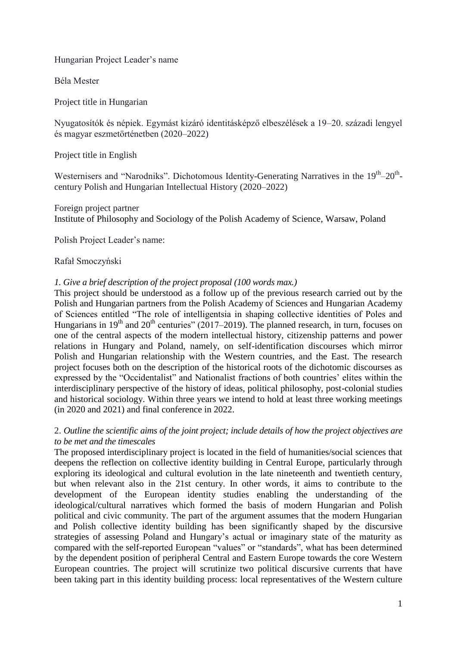Hungarian Project Leader's name

Béla Mester

Project title in Hungarian

Nyugatosítók és népiek. Egymást kizáró identitásképző elbeszélések a 19–20. századi lengyel és magyar eszmetörténetben (2020–2022)

Project title in English

Westernisers and "Narodniks". Dichotomous Identity-Generating Narratives in the 19<sup>th</sup>-20<sup>th</sup>century Polish and Hungarian Intellectual History (2020–2022)

## Foreign project partner

Institute of Philosophy and Sociology of the Polish Academy of Science, Warsaw, Poland

Polish Project Leader's name:

# Rafał Smoczyński

# *1. Give a brief description of the project proposal (100 words max.)*

This project should be understood as a follow up of the previous research carried out by the Polish and Hungarian partners from the Polish Academy of Sciences and Hungarian Academy of Sciences entitled "The role of intelligentsia in shaping collective identities of Poles and Hungarians in 19<sup>th</sup> and 20<sup>th</sup> centuries" (2017–2019). The planned research, in turn, focuses on one of the central aspects of the modern intellectual history, citizenship patterns and power relations in Hungary and Poland, namely, on self-identification discourses which mirror Polish and Hungarian relationship with the Western countries, and the East. The research project focuses both on the description of the historical roots of the dichotomic discourses as expressed by the "Occidentalist" and Nationalist fractions of both countries' elites within the interdisciplinary perspective of the history of ideas, political philosophy, post-colonial studies and historical sociology. Within three years we intend to hold at least three working meetings (in 2020 and 2021) and final conference in 2022.

# 2. *Outline the scientific aims of the joint project; include details of how the project objectives are to be met and the timescales*

The proposed interdisciplinary project is located in the field of humanities/social sciences that deepens the reflection on collective identity building in Central Europe, particularly through exploring its ideological and cultural evolution in the late nineteenth and twentieth century, but when relevant also in the 21st century. In other words, it aims to contribute to the development of the European identity studies enabling the understanding of the ideological/cultural narratives which formed the basis of modern Hungarian and Polish political and civic community. The part of the argument assumes that the modern Hungarian and Polish collective identity building has been significantly shaped by the discursive strategies of assessing Poland and Hungary's actual or imaginary state of the maturity as compared with the self-reported European "values" or "standards", what has been determined by the dependent position of peripheral Central and Eastern Europe towards the core Western European countries. The project will scrutinize two political discursive currents that have been taking part in this identity building process: local representatives of the Western culture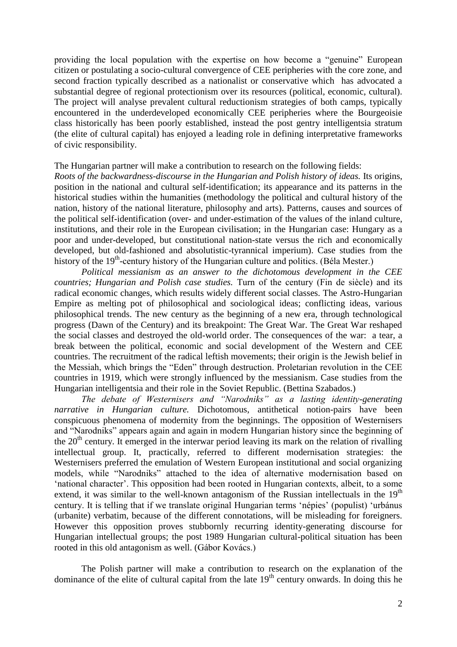providing the local population with the expertise on how become a "genuine" European citizen or postulating a socio-cultural convergence of CEE peripheries with the core zone, and second fraction typically described as a nationalist or conservative which has advocated a substantial degree of regional protectionism over its resources (political, economic, cultural). The project will analyse prevalent cultural reductionism strategies of both camps, typically encountered in the underdeveloped economically CEE peripheries where the Bourgeoisie class historically has been poorly established, instead the post gentry intelligentsia stratum (the elite of cultural capital) has enjoyed a leading role in defining interpretative frameworks of civic responsibility.

The Hungarian partner will make a contribution to research on the following fields:

*Roots of the backwardness-discourse in the Hungarian and Polish history of ideas.* Its origins, position in the national and cultural self-identification; its appearance and its patterns in the historical studies within the humanities (methodology the political and cultural history of the nation, history of the national literature, philosophy and arts). Patterns, causes and sources of the political self-identification (over- and under-estimation of the values of the inland culture, institutions, and their role in the European civilisation; in the Hungarian case: Hungary as a poor and under-developed, but constitutional nation-state versus the rich and economically developed, but old-fashioned and absolutistic-tyrannical imperium). Case studies from the history of the 19<sup>th</sup>-century history of the Hungarian culture and politics. (Béla Mester.)

*Political messianism as an answer to the dichotomous development in the CEE countries; Hungarian and Polish case studies.* Turn of the century (Fin de siècle) and its radical economic changes, which results widely different social classes. The Astro-Hungarian Empire as melting pot of philosophical and sociological ideas; conflicting ideas, various philosophical trends. The new century as the beginning of a new era, through technological progress (Dawn of the Century) and its breakpoint: The Great War. The Great War reshaped the social classes and destroyed the old-world order. The consequences of the war: a tear, a break between the political, economic and social development of the Western and CEE countries. The recruitment of the radical leftish movements; their origin is the Jewish belief in the Messiah, which brings the "Eden" through destruction. Proletarian revolution in the CEE countries in 1919, which were strongly influenced by the messianism. Case studies from the Hungarian intelligentsia and their role in the Soviet Republic. (Bettina Szabados.)

*The debate of Westernisers and "Narodniks" as a lasting identity-generating narrative in Hungarian culture.* Dichotomous, antithetical notion-pairs have been conspicuous phenomena of modernity from the beginnings. The opposition of Westernisers and "Narodniks" appears again and again in modern Hungarian history since the beginning of the  $20<sup>th</sup>$  century. It emerged in the interwar period leaving its mark on the relation of rivalling intellectual group. It, practically, referred to different modernisation strategies: the Westernisers preferred the emulation of Western European institutional and social organizing models, while "Narodniks" attached to the idea of alternative modernisation based on 'national character'. This opposition had been rooted in Hungarian contexts, albeit, to a some extend, it was similar to the well-known antagonism of the Russian intellectuals in the  $19<sup>th</sup>$ century. It is telling that if we translate original Hungarian terms 'népies' (populist) 'urbánus (urbanite) verbatim, because of the different connotations, will be misleading for foreigners. However this opposition proves stubbornly recurring identity-generating discourse for Hungarian intellectual groups; the post 1989 Hungarian cultural-political situation has been rooted in this old antagonism as well. (Gábor Kovács.)

The Polish partner will make a contribution to research on the explanation of the dominance of the elite of cultural capital from the late  $19<sup>th</sup>$  century onwards. In doing this he